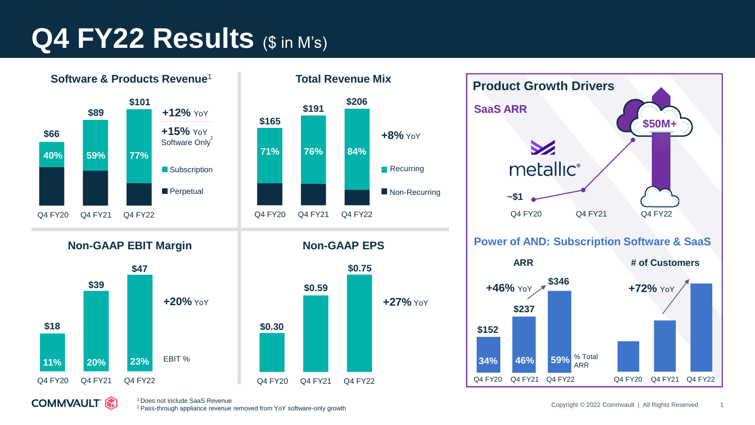## **Q4 FY22 Results (\$ in M's)**



**COMMVAULT (2)** 



**Non-GAAP EPS**





% Total ARR

Q4 FY22

**59%**

Q4 FY20

Q4 FY21

**46%**

**34%**

<sup>1</sup>Does not include SaaS Revenue

<sup>2</sup>Pass-through appliance revenue removed from YoY software-only growth

Q4 FY20 Q4 FY21 Q4 FY22